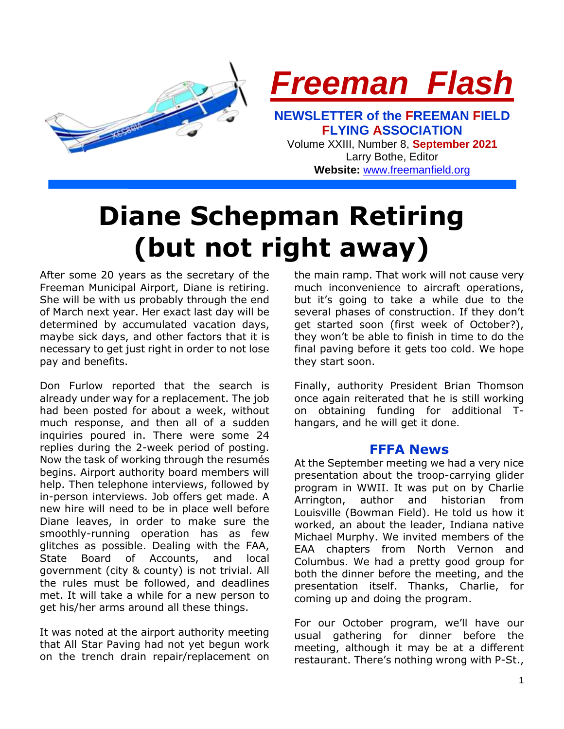

**Website:** [www.freemanfield.org](http://www.freemanfield.org/)

# **Diane Schepman Retiring (but not right away)**

After some 20 years as the secretary of the Freeman Municipal Airport, Diane is retiring. She will be with us probably through the end of March next year. Her exact last day will be determined by accumulated vacation days, maybe sick days, and other factors that it is necessary to get just right in order to not lose pay and benefits.

Don Furlow reported that the search is already under way for a replacement. The job had been posted for about a week, without much response, and then all of a sudden inquiries poured in. There were some 24 replies during the 2-week period of posting. Now the task of working through the resumés begins. Airport authority board members will help. Then telephone interviews, followed by in-person interviews. Job offers get made. A new hire will need to be in place well before Diane leaves, in order to make sure the smoothly-running operation has as few glitches as possible. Dealing with the FAA, State Board of Accounts, and local government (city & county) is not trivial. All the rules must be followed, and deadlines met. It will take a while for a new person to get his/her arms around all these things.

It was noted at the airport authority meeting that All Star Paving had not yet begun work on the trench drain repair/replacement on

the main ramp. That work will not cause very much inconvenience to aircraft operations, but it's going to take a while due to the several phases of construction. If they don't get started soon (first week of October?), they won't be able to finish in time to do the final paving before it gets too cold. We hope they start soon.

Finally, authority President Brian Thomson once again reiterated that he is still working on obtaining funding for additional Thangars, and he will get it done.

## **FFFA News**

At the September meeting we had a very nice presentation about the troop-carrying glider program in WWII. It was put on by Charlie Arrington, author and historian from Louisville (Bowman Field). He told us how it worked, an about the leader, Indiana native Michael Murphy. We invited members of the EAA chapters from North Vernon and Columbus. We had a pretty good group for both the dinner before the meeting, and the presentation itself. Thanks, Charlie, for coming up and doing the program.

For our October program, we'll have our usual gathering for dinner before the meeting, although it may be at a different restaurant. There's nothing wrong with P-St.,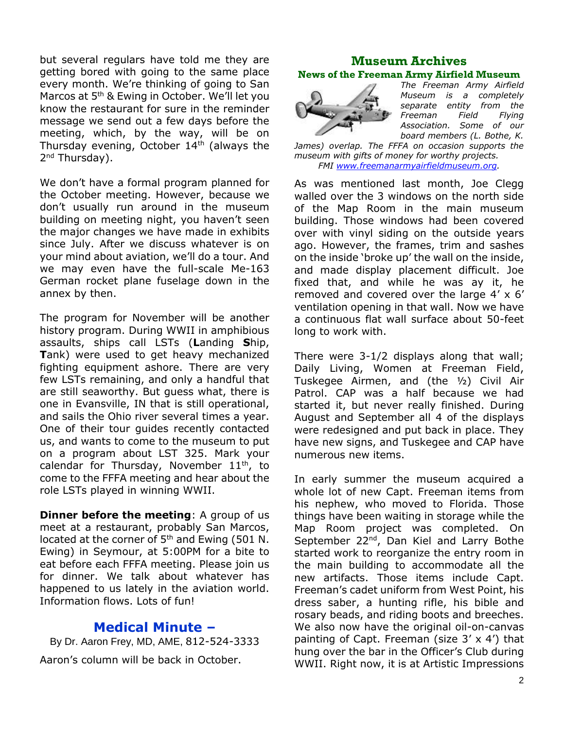but several regulars have told me they are getting bored with going to the same place every month. We're thinking of going to San Marcos at 5<sup>th</sup> & Ewing in October. We'll let you know the restaurant for sure in the reminder message we send out a few days before the meeting, which, by the way, will be on Thursday evening, October  $14<sup>th</sup>$  (always the 2<sup>nd</sup> Thursday).

We don't have a formal program planned for the October meeting. However, because we don't usually run around in the museum building on meeting night, you haven't seen the major changes we have made in exhibits since July. After we discuss whatever is on your mind about aviation, we'll do a tour. And we may even have the full-scale Me-163 German rocket plane fuselage down in the annex by then.

The program for November will be another history program. During WWII in amphibious assaults, ships call LSTs (**L**anding **S**hip, **T**ank) were used to get heavy mechanized fighting equipment ashore. There are very few LSTs remaining, and only a handful that are still seaworthy. But guess what, there is one in Evansville, IN that is still operational, and sails the Ohio river several times a year. One of their tour guides recently contacted us, and wants to come to the museum to put on a program about LST 325. Mark your calendar for Thursday, November  $11<sup>th</sup>$ , to come to the FFFA meeting and hear about the role LSTs played in winning WWII.

**Dinner before the meeting**: A group of us meet at a restaurant, probably San Marcos, located at the corner of 5<sup>th</sup> and Ewing (501 N. Ewing) in Seymour, at 5:00PM for a bite to eat before each FFFA meeting. Please join us for dinner. We talk about whatever has happened to us lately in the aviation world. Information flows. Lots of fun!

# **Medical Minute –**

By Dr. Aaron Frey, MD, AME, 812-524-3333 Aaron's column will be back in October.

## **Museum Archives News of the Freeman Army Airfield Museum**



*The Freeman Army Airfield Museum is a completely separate entity from the Freeman Field Flying Association. Some of our board members (L. Bothe, K.* 

*James) overlap. The FFFA on occasion supports the museum with gifts of money for worthy projects. FMI [www.freemanarmyairfieldmuseum.org.](http://www.freemanarmyairfieldmuseum.org/)*

As was mentioned last month, Joe Clegg walled over the 3 windows on the north side of the Map Room in the main museum building. Those windows had been covered over with vinyl siding on the outside years ago. However, the frames, trim and sashes on the inside 'broke up' the wall on the inside, and made display placement difficult. Joe fixed that, and while he was ay it, he removed and covered over the large 4' x 6' ventilation opening in that wall. Now we have a continuous flat wall surface about 50-feet long to work with.

There were 3-1/2 displays along that wall; Daily Living, Women at Freeman Field, Tuskegee Airmen, and (the ½) Civil Air Patrol. CAP was a half because we had started it, but never really finished. During August and September all 4 of the displays were redesigned and put back in place. They have new signs, and Tuskegee and CAP have numerous new items.

In early summer the museum acquired a whole lot of new Capt. Freeman items from his nephew, who moved to Florida. Those things have been waiting in storage while the Map Room project was completed. On September 22<sup>nd</sup>, Dan Kiel and Larry Bothe started work to reorganize the entry room in the main building to accommodate all the new artifacts. Those items include Capt. Freeman's cadet uniform from West Point, his dress saber, a hunting rifle, his bible and rosary beads, and riding boots and breeches. We also now have the original oil-on-canvas painting of Capt. Freeman (size 3' x 4') that hung over the bar in the Officer's Club during WWII. Right now, it is at Artistic Impressions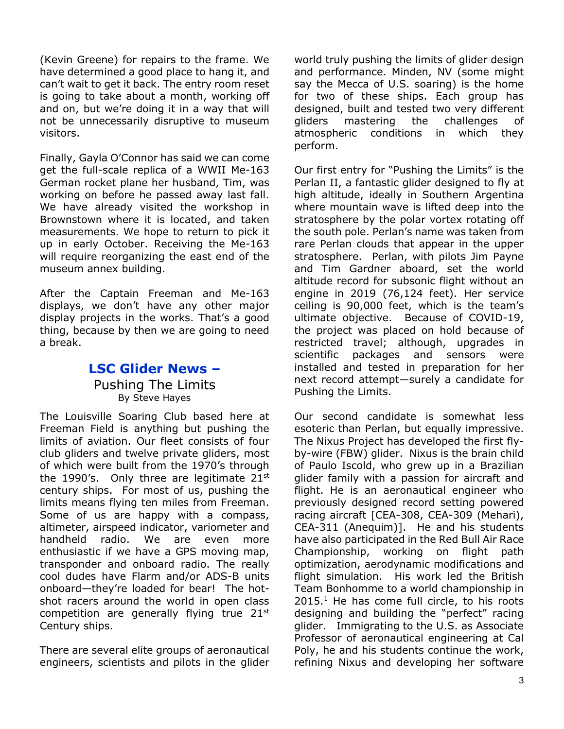(Kevin Greene) for repairs to the frame. We have determined a good place to hang it, and can't wait to get it back. The entry room reset is going to take about a month, working off and on, but we're doing it in a way that will not be unnecessarily disruptive to museum visitors.

Finally, Gayla O'Connor has said we can come get the full-scale replica of a WWII Me-163 German rocket plane her husband, Tim, was working on before he passed away last fall. We have already visited the workshop in Brownstown where it is located, and taken measurements. We hope to return to pick it up in early October. Receiving the Me-163 will require reorganizing the east end of the museum annex building.

After the Captain Freeman and Me-163 displays, we don't have any other major display projects in the works. That's a good thing, because by then we are going to need a break.

# **LSC Glider News –** Pushing The Limits By Steve Hayes

The Louisville Soaring Club based here at Freeman Field is anything but pushing the limits of aviation. Our fleet consists of four club gliders and twelve private gliders, most of which were built from the 1970's through the 1990's. Only three are legitimate  $21^{st}$ century ships. For most of us, pushing the limits means flying ten miles from Freeman. Some of us are happy with a compass, altimeter, airspeed indicator, variometer and handheld radio. We are even more enthusiastic if we have a GPS moving map, transponder and onboard radio. The really cool dudes have Flarm and/or ADS-B units onboard—they're loaded for bear! The hotshot racers around the world in open class competition are generally flying true  $21^{st}$ Century ships.

There are several elite groups of aeronautical engineers, scientists and pilots in the glider

world truly pushing the limits of glider design and performance. Minden, NV (some might say the Mecca of U.S. soaring) is the home for two of these ships. Each group has designed, built and tested two very different gliders mastering the challenges of atmospheric conditions in which they perform.

Our first entry for "Pushing the Limits" is the Perlan II, a fantastic glider designed to fly at high altitude, ideally in Southern Argentina where mountain wave is lifted deep into the stratosphere by the polar vortex rotating off the south pole. Perlan's name was taken from rare Perlan clouds that appear in the upper stratosphere. Perlan, with pilots Jim Payne and Tim Gardner aboard, set the world altitude record for subsonic flight without an engine in 2019 (76,124 feet). Her service ceiling is 90,000 feet, which is the team's ultimate objective. Because of COVID-19, the project was placed on hold because of restricted travel; although, upgrades in scientific packages and sensors were installed and tested in preparation for her next record attempt—surely a candidate for Pushing the Limits.

Our second candidate is somewhat less esoteric than Perlan, but equally impressive. The Nixus Project has developed the first flyby-wire (FBW) glider. Nixus is the brain child of Paulo Iscold, who grew up in a Brazilian glider family with a passion for aircraft and flight. He is an aeronautical engineer who previously designed record setting powered racing aircraft [CEA-308, CEA-309 (Mehari), CEA-311 (Anequim)]. He and his students have also participated in the Red Bull Air Race Championship, working on flight path optimization, aerodynamic modifications and flight simulation. His work led the British Team Bonhomme to a world championship in  $2015<sup>1</sup>$  He has come full circle, to his roots designing and building the "perfect" racing glider. Immigrating to the U.S. as Associate Professor of aeronautical engineering at Cal Poly, he and his students continue the work, refining Nixus and developing her software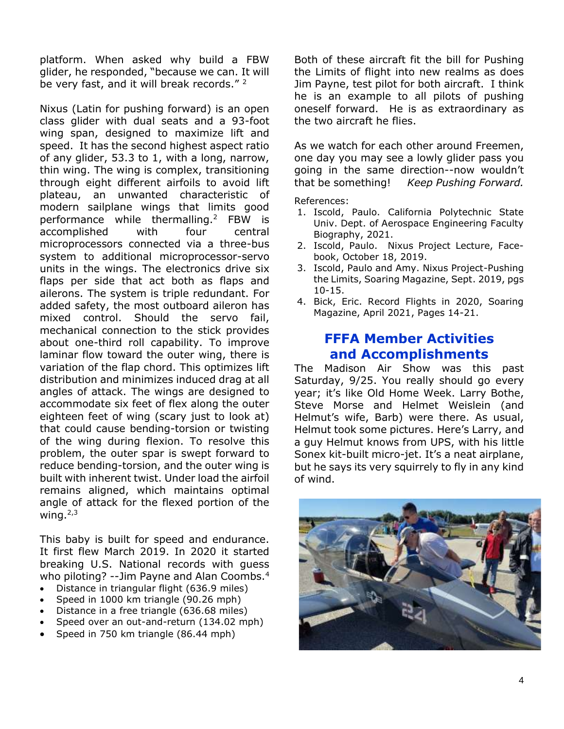platform. When asked why build a FBW glider, he responded, "because we can. It will be very fast, and it will break records."<sup>2</sup>

Nixus (Latin for pushing forward) is an open class glider with dual seats and a 93-foot wing span, designed to maximize lift and speed. It has the second highest aspect ratio of any glider, 53.3 to 1, with a long, narrow, thin wing. The wing is complex, transitioning through eight different airfoils to avoid lift plateau, an unwanted characteristic of modern sailplane wings that limits good performance while thermalling.<sup>2</sup> FBW is accomplished with four central microprocessors connected via a three-bus system to additional microprocessor-servo units in the wings. The electronics drive six flaps per side that act both as flaps and ailerons. The system is triple redundant. For added safety, the most outboard aileron has mixed control. Should the servo fail, mechanical connection to the stick provides about one-third roll capability. To improve laminar flow toward the outer wing, there is variation of the flap chord. This optimizes lift distribution and minimizes induced drag at all angles of attack. The wings are designed to accommodate six feet of flex along the outer eighteen feet of wing (scary just to look at) that could cause bending-torsion or twisting of the wing during flexion. To resolve this problem, the outer spar is swept forward to reduce bending-torsion, and the outer wing is built with inherent twist. Under load the airfoil remains aligned, which maintains optimal angle of attack for the flexed portion of the wing. $2,3$ 

This baby is built for speed and endurance. It first flew March 2019. In 2020 it started breaking U.S. National records with guess who piloting? --Jim Payne and Alan Coombs.<sup>4</sup>

- Distance in triangular flight (636.9 miles)
- Speed in 1000 km triangle (90.26 mph)
- Distance in a free triangle (636.68 miles)
- Speed over an out-and-return (134.02 mph)
- Speed in 750 km triangle (86.44 mph)

Both of these aircraft fit the bill for Pushing the Limits of flight into new realms as does Jim Payne, test pilot for both aircraft. I think he is an example to all pilots of pushing oneself forward. He is as extraordinary as the two aircraft he flies.

As we watch for each other around Freemen, one day you may see a lowly glider pass you going in the same direction--now wouldn't that be something! *Keep Pushing Forward.*

References:

- 1. Iscold, Paulo. California Polytechnic State Univ. Dept. of Aerospace Engineering Faculty Biography, 2021.
- 2. Iscold, Paulo. Nixus Project Lecture, Facebook, October 18, 2019.
- 3. Iscold, Paulo and Amy. Nixus Project-Pushing the Limits, Soaring Magazine, Sept. 2019, pgs 10-15.
- 4. Bick, Eric. Record Flights in 2020, Soaring Magazine, April 2021, Pages 14-21.

# **FFFA Member Activities and Accomplishments**

The Madison Air Show was this past Saturday, 9/25. You really should go every year; it's like Old Home Week. Larry Bothe, Steve Morse and Helmet Weislein (and Helmut's wife, Barb) were there. As usual, Helmut took some pictures. Here's Larry, and a guy Helmut knows from UPS, with his little Sonex kit-built micro-jet. It's a neat airplane, but he says its very squirrely to fly in any kind of wind.

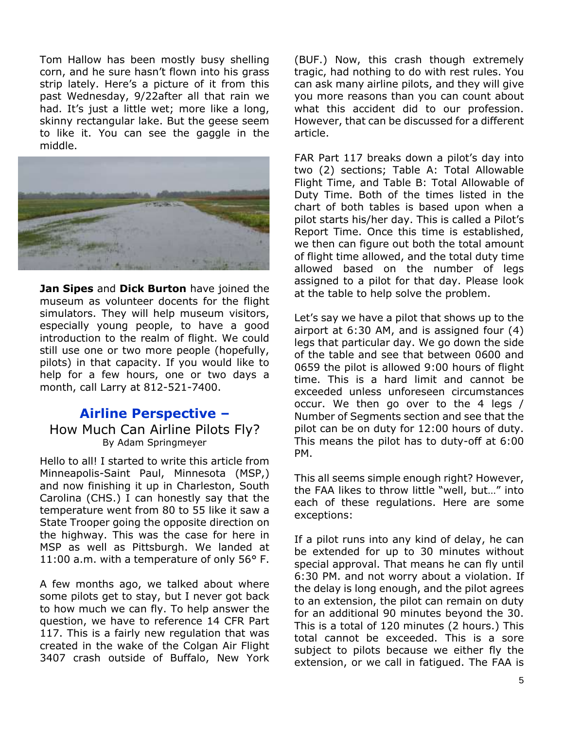Tom Hallow has been mostly busy shelling corn, and he sure hasn't flown into his grass strip lately. Here's a picture of it from this past Wednesday, 9/22after all that rain we had. It's just a little wet; more like a long, skinny rectangular lake. But the geese seem to like it. You can see the gaggle in the middle.



**Jan Sipes** and **Dick Burton** have joined the museum as volunteer docents for the flight simulators. They will help museum visitors, especially young people, to have a good introduction to the realm of flight. We could still use one or two more people (hopefully, pilots) in that capacity. If you would like to help for a few hours, one or two days a month, call Larry at 812-521-7400.

## **Airline Perspective –** How Much Can Airline Pilots Fly? By Adam Springmeyer

Hello to all! I started to write this article from Minneapolis-Saint Paul, Minnesota (MSP,) and now finishing it up in Charleston, South Carolina (CHS.) I can honestly say that the temperature went from 80 to 55 like it saw a State Trooper going the opposite direction on the highway. This was the case for here in MSP as well as Pittsburgh. We landed at 11:00 a.m. with a temperature of only 56° F.

A few months ago, we talked about where some pilots get to stay, but I never got back to how much we can fly. To help answer the question, we have to reference 14 CFR Part 117. This is a fairly new regulation that was created in the wake of the Colgan Air Flight 3407 crash outside of Buffalo, New York

(BUF.) Now, this crash though extremely tragic, had nothing to do with rest rules. You can ask many airline pilots, and they will give you more reasons than you can count about what this accident did to our profession. However, that can be discussed for a different article.

FAR Part 117 breaks down a pilot's day into two (2) sections; Table A: Total Allowable Flight Time, and Table B: Total Allowable of Duty Time. Both of the times listed in the chart of both tables is based upon when a pilot starts his/her day. This is called a Pilot's Report Time. Once this time is established, we then can figure out both the total amount of flight time allowed, and the total duty time allowed based on the number of legs assigned to a pilot for that day. Please look at the table to help solve the problem.

Let's say we have a pilot that shows up to the airport at 6:30 AM, and is assigned four (4) legs that particular day. We go down the side of the table and see that between 0600 and 0659 the pilot is allowed 9:00 hours of flight time. This is a hard limit and cannot be exceeded unless unforeseen circumstances occur. We then go over to the 4 legs / Number of Segments section and see that the pilot can be on duty for 12:00 hours of duty. This means the pilot has to duty-off at 6:00 PM.

This all seems simple enough right? However, the FAA likes to throw little "well, but…" into each of these regulations. Here are some exceptions:

If a pilot runs into any kind of delay, he can be extended for up to 30 minutes without special approval. That means he can fly until 6:30 PM. and not worry about a violation. If the delay is long enough, and the pilot agrees to an extension, the pilot can remain on duty for an additional 90 minutes beyond the 30. This is a total of 120 minutes (2 hours.) This total cannot be exceeded. This is a sore subject to pilots because we either fly the extension, or we call in fatigued. The FAA is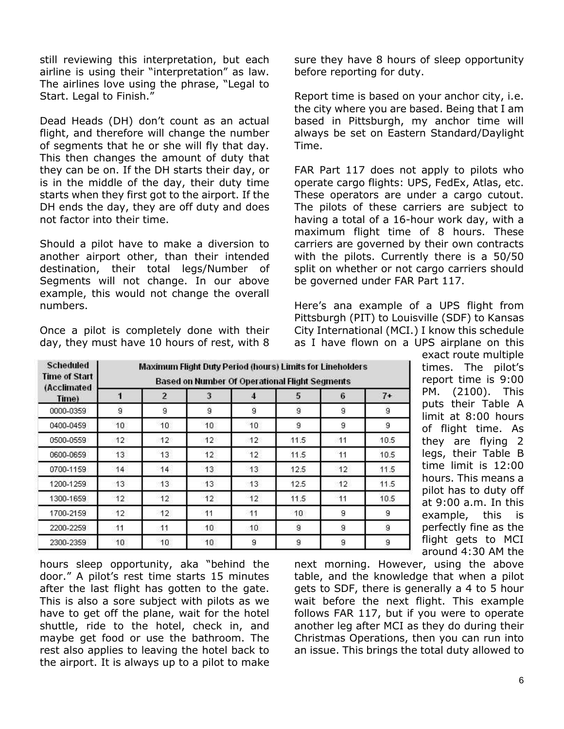still reviewing this interpretation, but each airline is using their "interpretation" as law. The airlines love using the phrase, "Legal to Start. Legal to Finish."

Dead Heads (DH) don't count as an actual flight, and therefore will change the number of segments that he or she will fly that day. This then changes the amount of duty that they can be on. If the DH starts their day, or is in the middle of the day, their duty time starts when they first got to the airport. If the DH ends the day, they are off duty and does not factor into their time.

Should a pilot have to make a diversion to another airport other, than their intended destination, their total legs/Number of Segments will not change. In our above example, this would not change the overall numbers.

Once a pilot is completely done with their day, they must have 10 hours of rest, with 8

sure they have 8 hours of sleep opportunity before reporting for duty.

Report time is based on your anchor city, i.e. the city where you are based. Being that I am based in Pittsburgh, my anchor time will always be set on Eastern Standard/Daylight Time.

FAR Part 117 does not apply to pilots who operate cargo flights: UPS, FedEx, Atlas, etc. These operators are under a cargo cutout. The pilots of these carriers are subject to having a total of a 16-hour work day, with a maximum flight time of 8 hours. These carriers are governed by their own contracts with the pilots. Currently there is a 50/50 split on whether or not cargo carriers should be governed under FAR Part 117.

Here's ana example of a UPS flight from Pittsburgh (PIT) to Louisville (SDF) to Kansas City International (MCI.) I know this schedule as I have flown on a UPS airplane on this

| <b>Scheduled</b><br><b>Time of Start</b><br>(Acclimated<br>Time) | Maximum Flight Duty Period (hours) Limits for Lineholders<br><b>Based on Number Of Operational Flight Segments</b> |                 |                 |              |                 |                |      |
|------------------------------------------------------------------|--------------------------------------------------------------------------------------------------------------------|-----------------|-----------------|--------------|-----------------|----------------|------|
|                                                                  |                                                                                                                    | $\overline{2}$  | 3               | 4            | 5               | 6              | $7+$ |
| 0000-0359                                                        | 9                                                                                                                  | $\overline{9}$  | g               | 9            | $\overline{9}$  | 9              | 9    |
| 0400-0459                                                        | 10.                                                                                                                | 10.             | 10.             | 10.          | 9               | 9              | 9    |
| 0500-0559                                                        | 12                                                                                                                 | 12 <sup>1</sup> | 12 <sup>°</sup> | 12           | 11.5            | 11             | 10.5 |
| 0600-0659                                                        | 13                                                                                                                 | 13              | $12^{\circ}$    | $12^{\circ}$ | 11.5            | 11             | 10.5 |
| 0700-1159                                                        | 14                                                                                                                 | 14              | 13              | 13           | 12.5            | 12             | 11.5 |
| 1200-1259                                                        | 13                                                                                                                 | 13              | 13              | 13           | 12.5            | 12             | 11.5 |
| 1300-1659                                                        | 12                                                                                                                 | 12              | 12              | 12           | 11.5            | 11             | 10.5 |
| 1700-2159                                                        | 12                                                                                                                 | 12 <sub>2</sub> | 11              | 11           | 10 <sup>°</sup> | 9              | 9    |
| 2200-2259                                                        | 11                                                                                                                 | 11              | 10 <sup>1</sup> | 10           | 9               | $\overline{9}$ | 9    |
| 2300-2359                                                        | 10                                                                                                                 | 10              | 10 <sub>1</sub> | 9            | 9               | 9              | 9    |

exact route multiple times. The pilot's report time is 9:00 PM. (2100). This puts their Table A limit at 8:00 hours of flight time. As they are flying 2 legs, their Table B time limit is 12:00 hours. This means a pilot has to duty off at 9:00 a.m. In this example, this is perfectly fine as the flight gets to MCI around 4:30 AM the

hours sleep opportunity, aka "behind the door." A pilot's rest time starts 15 minutes after the last flight has gotten to the gate. This is also a sore subject with pilots as we have to get off the plane, wait for the hotel shuttle, ride to the hotel, check in, and maybe get food or use the bathroom. The rest also applies to leaving the hotel back to the airport. It is always up to a pilot to make

next morning. However, using the above table, and the knowledge that when a pilot gets to SDF, there is generally a 4 to 5 hour wait before the next flight. This example follows FAR 117, but if you were to operate another leg after MCI as they do during their Christmas Operations, then you can run into an issue. This brings the total duty allowed to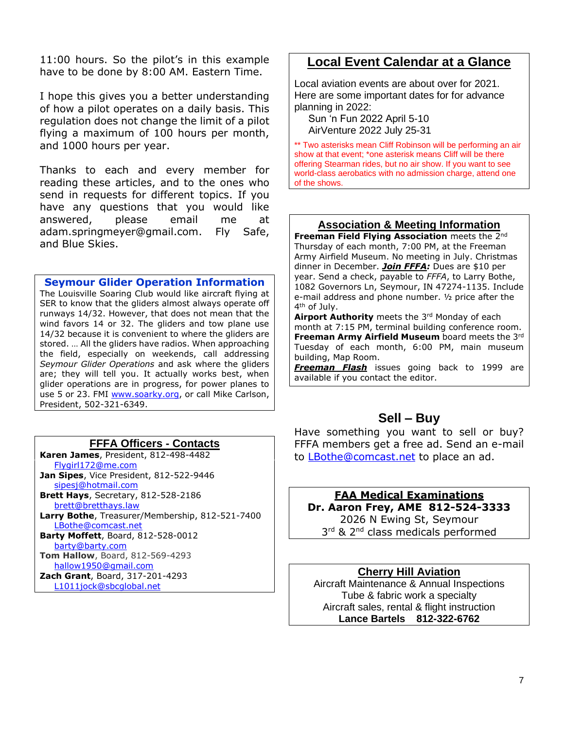11:00 hours. So the pilot's in this example have to be done by 8:00 AM. Eastern Time.

I hope this gives you a better understanding of how a pilot operates on a daily basis. This regulation does not change the limit of a pilot flying a maximum of 100 hours per month, and 1000 hours per year.

Thanks to each and every member for reading these articles, and to the ones who send in requests for different topics. If you have any questions that you would like answered, please email me at [adam.springmeyer@gmail.com.](mailto:adam.springmeyer@gmail.com) Fly Safe, and Blue Skies.

#### **Seymour Glider Operation Information**

The Louisville Soaring Club would like aircraft flying at SER to know that the gliders almost always operate off runways 14/32. However, that does not mean that the wind favors 14 or 32. The gliders and tow plane use 14/32 because it is convenient to where the gliders are stored. … All the gliders have radios. When approaching the field, especially on weekends, call addressing *Seymour Glider Operations* and ask where the gliders are; they will tell you. It actually works best, when glider operations are in progress, for power planes to use 5 or 23. FMI [www.soarky.org,](http://www.soarky.org/) or call Mike Carlson, President, 502-321-6349.

#### **FFFA Officers - Contacts**

**Karen James**, President, 812-498-4482 [Flygirl172@me.com](mailto:Flygirl172@me.com) **Jan Sipes**, Vice President, 812-522-9446 [sipesj@hotmail.com](mailto:sipesj@hotmail.com) **Brett Hays**, Secretary, 812-528-2186 [brett@bretthays.law](mailto:brett@bretthays.law) **Larry Bothe**, Treasurer/Membership, 812-521-7400 [LBothe@comcast.net](mailto:LBothe@comcast.net) **Barty Moffett**, Board, 812-528-0012 [barty@barty.com](mailto:barty@barty.com) **Tom Hallow**, Board, 812-569-4293 [hallow1950@gmail.com](mailto:hallow1950@gmail.com) **Zach Grant**, Board, 317-201-4293 [L1011jock@sbcglobal.net](mailto:L1011jock@sbcglobal.net)

# **Local Event Calendar at a Glance**

Local aviation events are about over for 2021. Here are some important dates for for advance planning in 2022:

 Sun 'n Fun 2022 April 5-10 AirVenture 2022 July 25-31

\*\* Two asterisks mean Cliff Robinson will be performing an air show at that event; \*one asterisk means Cliff will be there offering Stearman rides, but no air show. If you want to see world-class aerobatics with no admission charge, attend one of the shows.

#### **Association & Meeting Information**

**Freeman Field Flying Association** meets the 2<sup>nd</sup> Thursday of each month, 7:00 PM, at the Freeman Army Airfield Museum. No meeting in July. Christmas dinner in December. *Join FFFA:* Dues are \$10 per year. Send a check, payable to *FFFA*, to Larry Bothe, 1082 Governors Ln, Seymour, IN 47274-1135. Include e-mail address and phone number. ½ price after the 4<sup>th</sup> of July.

Airport Authority meets the 3<sup>rd</sup> Monday of each month at 7:15 PM, terminal building conference room. **Freeman Army Airfield Museum** board meets the 3rd Tuesday of each month, 6:00 PM, main museum building, Map Room.

*Freeman Flash* issues going back to 1999 are available if you contact the editor.

## **Sell – Buy**

Have something you want to sell or buy? FFFA members get a free ad. Send an e-mail to [LBothe@comcast.net](mailto:LBothe@comcast.net) to place an ad.

## **FAA Medical Examinations**

**Dr. Aaron Frey, AME 812-524-3333** 2026 N Ewing St, Seymour

3<sup>rd</sup> & 2<sup>nd</sup> class medicals performed

## **Cherry Hill Aviation**

Aircraft Maintenance & Annual Inspections Tube & fabric work a specialty Aircraft sales, rental & flight instruction **Lance Bartels 812-322-6762**